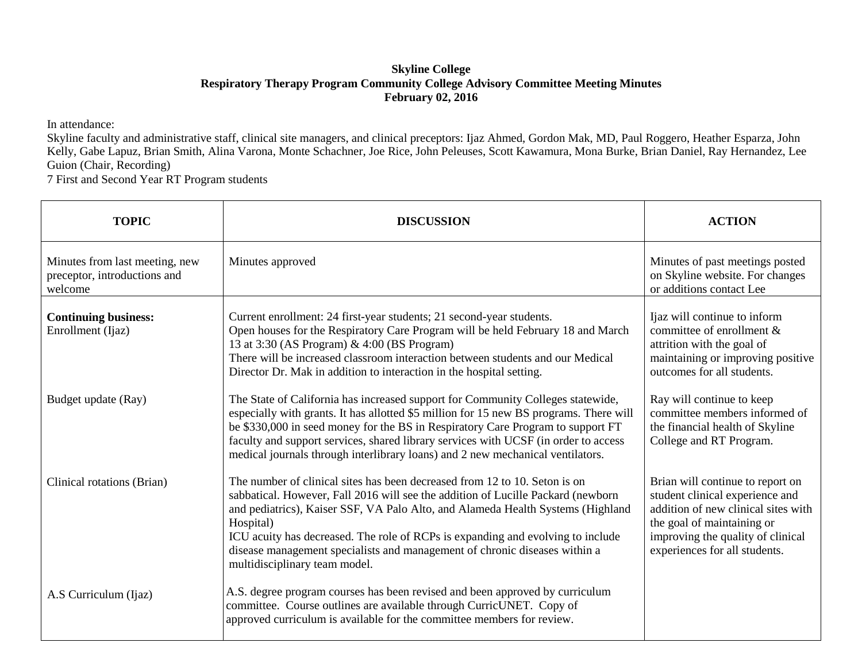## **Skyline College Respiratory Therapy Program Community College Advisory Committee Meeting Minutes February 02, 2016**

In attendance:

Skyline faculty and administrative staff, clinical site managers, and clinical preceptors: Ijaz Ahmed, Gordon Mak, MD, Paul Roggero, Heather Esparza, John Kelly, Gabe Lapuz, Brian Smith, Alina Varona, Monte Schachner, Joe Rice, John Peleuses, Scott Kawamura, Mona Burke, Brian Daniel, Ray Hernandez, Lee Guion (Chair, Recording)

7 First and Second Year RT Program students

| <b>TOPIC</b>                                                              | <b>DISCUSSION</b>                                                                                                                                                                                                                                                                                                                                                                                                                                                | <b>ACTION</b>                                                                                                                                                                                                  |
|---------------------------------------------------------------------------|------------------------------------------------------------------------------------------------------------------------------------------------------------------------------------------------------------------------------------------------------------------------------------------------------------------------------------------------------------------------------------------------------------------------------------------------------------------|----------------------------------------------------------------------------------------------------------------------------------------------------------------------------------------------------------------|
| Minutes from last meeting, new<br>preceptor, introductions and<br>welcome | Minutes approved                                                                                                                                                                                                                                                                                                                                                                                                                                                 | Minutes of past meetings posted<br>on Skyline website. For changes<br>or additions contact Lee                                                                                                                 |
| <b>Continuing business:</b><br>Enrollment (Ijaz)                          | Current enrollment: 24 first-year students; 21 second-year students.<br>Open houses for the Respiratory Care Program will be held February 18 and March<br>13 at 3:30 (AS Program) & 4:00 (BS Program)<br>There will be increased classroom interaction between students and our Medical<br>Director Dr. Mak in addition to interaction in the hospital setting.                                                                                                 | Ijaz will continue to inform<br>committee of enrollment $\&$<br>attrition with the goal of<br>maintaining or improving positive<br>outcomes for all students.                                                  |
| Budget update (Ray)                                                       | The State of California has increased support for Community Colleges statewide,<br>especially with grants. It has allotted \$5 million for 15 new BS programs. There will<br>be \$330,000 in seed money for the BS in Respiratory Care Program to support FT<br>faculty and support services, shared library services with UCSF (in order to access<br>medical journals through interlibrary loans) and 2 new mechanical ventilators.                            | Ray will continue to keep<br>committee members informed of<br>the financial health of Skyline<br>College and RT Program.                                                                                       |
| Clinical rotations (Brian)                                                | The number of clinical sites has been decreased from 12 to 10. Seton is on<br>sabbatical. However, Fall 2016 will see the addition of Lucille Packard (newborn<br>and pediatrics), Kaiser SSF, VA Palo Alto, and Alameda Health Systems (Highland<br>Hospital)<br>ICU acuity has decreased. The role of RCPs is expanding and evolving to include<br>disease management specialists and management of chronic diseases within a<br>multidisciplinary team model. | Brian will continue to report on<br>student clinical experience and<br>addition of new clinical sites with<br>the goal of maintaining or<br>improving the quality of clinical<br>experiences for all students. |
| A.S Curriculum (Ijaz)                                                     | A.S. degree program courses has been revised and been approved by curriculum<br>committee. Course outlines are available through CurricUNET. Copy of<br>approved curriculum is available for the committee members for review.                                                                                                                                                                                                                                   |                                                                                                                                                                                                                |